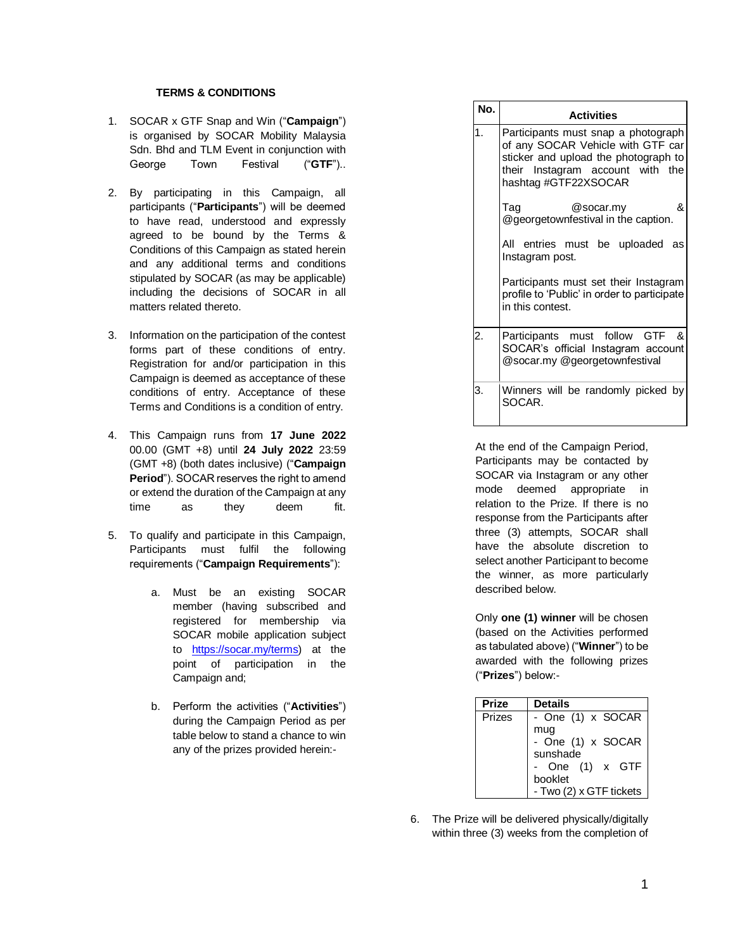## **TERMS & CONDITIONS**

- 1. SOCAR x GTF Snap and Win ("**Campaign**") is organised by SOCAR Mobility Malaysia Sdn. Bhd and TLM Event in conjunction with George Town Festival ("**GTF**")..
- 2. By participating in this Campaign, all participants ("**Participants**") will be deemed to have read, understood and expressly agreed to be bound by the Terms & Conditions of this Campaign as stated herein and any additional terms and conditions stipulated by SOCAR (as may be applicable) including the decisions of SOCAR in all matters related thereto.
- 3. Information on the participation of the contest forms part of these conditions of entry. Registration for and/or participation in this Campaign is deemed as acceptance of these conditions of entry. Acceptance of these Terms and Conditions is a condition of entry.
- 4. This Campaign runs from **17 June 2022**  00.00 (GMT +8) until **24 July 2022** 23:59 (GMT +8) (both dates inclusive) ("**Campaign Period**"). SOCAR reserves the right to amend or extend the duration of the Campaign at any time as they deem fit.
- 5. To qualify and participate in this Campaign, Participants must fulfil the following requirements ("**Campaign Requirements**"):
	- a. Must be an existing SOCAR member (having subscribed and registered for membership via SOCAR mobile application subject to [https://socar.my/terms\)](https://socar.my/terms) at the point of participation in the Campaign and;
	- b. Perform the activities ("**Activities**") during the Campaign Period as per table below to stand a chance to win any of the prizes provided herein:-

| No. | <b>Activities</b>                                                                                                                                                            |
|-----|------------------------------------------------------------------------------------------------------------------------------------------------------------------------------|
| 1.  | Participants must snap a photograph<br>of any SOCAR Vehicle with GTF car<br>sticker and upload the photograph to<br>their Instagram account with the<br>hashtag #GTF22XSOCAR |
|     | &<br>Taq<br>@socar.my<br>@georgetownfestival in the caption.                                                                                                                 |
|     | All entries must be uploaded as<br>Instagram post.                                                                                                                           |
|     | Participants must set their Instagram<br>profile to 'Public' in order to participate<br>in this contest.                                                                     |
| 2.  | &<br>Participants must follow GTF<br>SOCAR's official Instagram account<br>@socar.my @georgetownfestival                                                                     |
| З.  | Winners will be randomly picked by<br>SOCAR.                                                                                                                                 |

At the end of the Campaign Period, Participants may be contacted by SOCAR via Instagram or any other mode deemed appropriate in relation to the Prize. If there is no response from the Participants after three (3) attempts, SOCAR shall have the absolute discretion to select another Participant to become the winner, as more particularly described below.

Only **one (1) winner** will be chosen (based on the Activities performed as tabulated above) ("**Winner**") to be awarded with the following prizes ("**Prizes**") below:-

| <b>Prize</b> | <b>Details</b>                       |
|--------------|--------------------------------------|
| Prizes       | - One (1) x SOCAR                    |
|              | mug<br>- One (1) x SOCAR<br>sunshade |
|              | One (1) x GTF<br>booklet             |
|              | - Two (2) x GTF tickets              |

6. The Prize will be delivered physically/digitally within three (3) weeks from the completion of